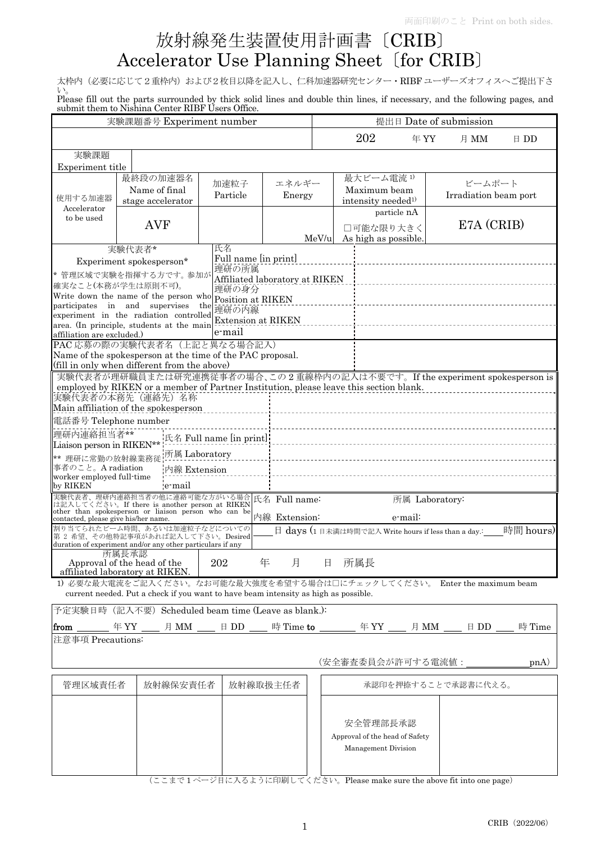## 放射線発生装置使用計画書〔CRIB〕 Accelerator Use Planning Sheet〔for CRIB〕

太枠内(必要に応じて2重枠内)および2枚目以降を記入し、仁科加速器研究センター·RIBF ユーザーズオフィスへご提出下さ い。

Please fill out the parts surrounded by thick solid lines and double thin lines, if necessary, and the following pages, and submit them to Nishina Center RIBF Users Office.

| 実験課題番号 Experiment number              |                                                                                                                                                                   |                                   |               | 提出日 Date of submission |                                |                |                                 |                                                                    |
|---------------------------------------|-------------------------------------------------------------------------------------------------------------------------------------------------------------------|-----------------------------------|---------------|------------------------|--------------------------------|----------------|---------------------------------|--------------------------------------------------------------------|
|                                       |                                                                                                                                                                   |                                   |               |                        | 202                            | 年YY            | 月 MM                            | $\boxminus$ DD                                                     |
| 実験課題                                  |                                                                                                                                                                   |                                   |               |                        |                                |                |                                 |                                                                    |
| Experiment title                      |                                                                                                                                                                   |                                   |               |                        |                                |                |                                 |                                                                    |
|                                       | 最終段の加速器名                                                                                                                                                          | 加速粒子                              | エネルギー         |                        | 最大ビーム電流1)                      |                |                                 |                                                                    |
|                                       | Name of final                                                                                                                                                     | Particle                          | Energy        |                        | Maximum beam                   |                | ビームポート<br>Irradiation beam port |                                                                    |
| 使用する加速器                               | stage accelerator                                                                                                                                                 |                                   |               |                        | intensity needed <sup>1)</sup> |                |                                 |                                                                    |
| Accelerator<br>to be used             |                                                                                                                                                                   |                                   |               |                        | particle nA                    |                |                                 |                                                                    |
|                                       | <b>AVF</b>                                                                                                                                                        |                                   |               |                        | □可能な限り大きく                      |                |                                 | E7A (CRIB)                                                         |
|                                       |                                                                                                                                                                   |                                   |               | MeV/u                  | As high as possible.           |                |                                 |                                                                    |
|                                       | 実験代表者*                                                                                                                                                            | 氏名                                |               |                        |                                |                |                                 |                                                                    |
|                                       | Experiment spokesperson*                                                                                                                                          | Full name [in print]              |               |                        |                                |                |                                 |                                                                    |
|                                       | 理研の所属<br>* 管理区域で実験を指揮する方です。参加が<br>Affiliated laboratory at RIKEN<br>確実なこと(本務が学生は原則不可)。                                                                            |                                   |               |                        |                                |                |                                 |                                                                    |
|                                       | Write down the name of the person who                                                                                                                             | 理研の身分                             |               |                        |                                |                |                                 |                                                                    |
|                                       | participates in and supervises                                                                                                                                    | Position at RIKEN<br>the<br>理研の内線 |               |                        |                                |                |                                 |                                                                    |
|                                       | experiment in the radiation controlled                                                                                                                            | <b>Extension at RIKEN</b>         |               |                        |                                |                |                                 |                                                                    |
|                                       | area. (In principle, students at the main                                                                                                                         | e-mail                            |               |                        |                                |                |                                 |                                                                    |
| affiliation are excluded.)            | PAC 応募の際の実験代表者名(上記と異なる場合記入)                                                                                                                                       |                                   |               |                        |                                |                |                                 |                                                                    |
|                                       | Name of the spokesperson at the time of the PAC proposal.                                                                                                         |                                   |               |                        |                                |                |                                 |                                                                    |
|                                       | (fill in only when different from the above)                                                                                                                      |                                   |               |                        |                                |                |                                 |                                                                    |
|                                       | 実験代表者が理研職員または研究連携従事者の場合、この2重線枠内の記入は不要です。If the experiment spokesperson is                                                                                         |                                   |               |                        |                                |                |                                 |                                                                    |
|                                       | employed by RIKEN or a member of Partner Institution, please leave this section blank.                                                                            |                                   |               |                        |                                |                |                                 |                                                                    |
|                                       |                                                                                                                                                                   |                                   |               |                        |                                |                |                                 |                                                                    |
|                                       | Main affiliation of the spokesperson                                                                                                                              |                                   |               |                        |                                |                |                                 |                                                                    |
| 電話番号 Telephone number                 |                                                                                                                                                                   |                                   |               |                        |                                |                |                                 |                                                                    |
| 理研内連絡担当者**                            |                                                                                                                                                                   | 氏名 Full name [in print]:          |               |                        |                                |                |                                 |                                                                    |
| Liaison person in RIKEN**             |                                                                                                                                                                   |                                   |               |                        |                                |                |                                 |                                                                    |
| ** 理研に常勤の放射線業務従                       | 所属 Laboratory                                                                                                                                                     |                                   |               |                        |                                |                |                                 |                                                                    |
| 事者のこと。A radiation                     | 内線 Extension                                                                                                                                                      |                                   |               |                        |                                |                |                                 |                                                                    |
| worker employed full-time<br>by RIKEN | e-mail                                                                                                                                                            |                                   |               |                        |                                |                |                                 |                                                                    |
|                                       |                                                                                                                                                                   |                                   |               |                        |                                | 所属 Laboratory: |                                 |                                                                    |
|                                       | 実験代表者、理研内連絡担当者の他に連絡可能な方がいる場合 氏名 Full name:<br>は記入してください。If there is another person at RIKEN 氏名 Full name:<br>other than spokesperson or liaison person who can be |                                   |               |                        |                                |                |                                 |                                                                    |
| contacted, please give his/her name.  |                                                                                                                                                                   |                                   | 内線 Extension: |                        |                                | e-mail:        |                                 |                                                                    |
|                                       | 割り当てられたビーム時間、あるいは加速粒子などについての                                                                                                                                      |                                   |               |                        |                                |                |                                 | 日 days (1日未満は時間で記入 Write hours if less than a day.: _____時間 hours) |
|                                       | 第 2 希望、その他特記事項があれば記入して下さい。Desired<br>duration of experiment and/or any other particulars if any                                                                   |                                   |               |                        |                                |                |                                 |                                                                    |
|                                       | 所属長承認                                                                                                                                                             |                                   |               |                        |                                |                |                                 |                                                                    |
|                                       | Approval of the head of the                                                                                                                                       | 202                               | 月<br>年        | 日                      | 所属長                            |                |                                 |                                                                    |
|                                       | affiliated laboratory at RIKEN.                                                                                                                                   |                                   |               |                        |                                |                |                                 |                                                                    |
|                                       | 1) 必要な最大電流をご記入ください。なお可能な最大強度を希望する場合は口にチェックしてください。 Enter the maximum beam<br>current needed. Put a check if you want to have beam intensity as high as possible.   |                                   |               |                        |                                |                |                                 |                                                                    |
|                                       |                                                                                                                                                                   |                                   |               |                        |                                |                |                                 |                                                                    |
|                                       | 予定実験日時 (記入不要) Scheduled beam time (Leave as blank.):                                                                                                              |                                   |               |                        |                                |                |                                 |                                                                    |
|                                       |                                                                                                                                                                   |                                   |               |                        |                                |                |                                 | 時 Time                                                             |
| 注意事項 Precautions:                     |                                                                                                                                                                   |                                   |               |                        |                                |                |                                 |                                                                    |
|                                       |                                                                                                                                                                   |                                   |               |                        |                                |                |                                 |                                                                    |
|                                       |                                                                                                                                                                   |                                   |               |                        | (安全審査委員会が許可する電流値:              |                |                                 | p <sub>n</sub> (A)                                                 |
|                                       |                                                                                                                                                                   |                                   |               |                        |                                |                |                                 |                                                                    |
| 管理区域責任者                               | 放射線保安責任者                                                                                                                                                          |                                   | 放射線取扱主任者      |                        |                                |                | 承認印を押捺することで承認書に代える。             |                                                                    |
|                                       |                                                                                                                                                                   |                                   |               |                        |                                |                |                                 |                                                                    |
|                                       |                                                                                                                                                                   |                                   |               |                        |                                |                |                                 |                                                                    |
|                                       |                                                                                                                                                                   |                                   |               |                        | 安全管理部長承認                       |                |                                 |                                                                    |
|                                       |                                                                                                                                                                   |                                   |               |                        | Approval of the head of Safety |                |                                 |                                                                    |
|                                       |                                                                                                                                                                   |                                   |               |                        | Management Division            |                |                                 |                                                                    |
|                                       |                                                                                                                                                                   |                                   |               |                        |                                |                |                                 |                                                                    |
|                                       |                                                                                                                                                                   |                                   |               |                        |                                |                |                                 |                                                                    |

(ここまで 1 ページ目に入るように印刷してください。Please make sure the above fit into one page)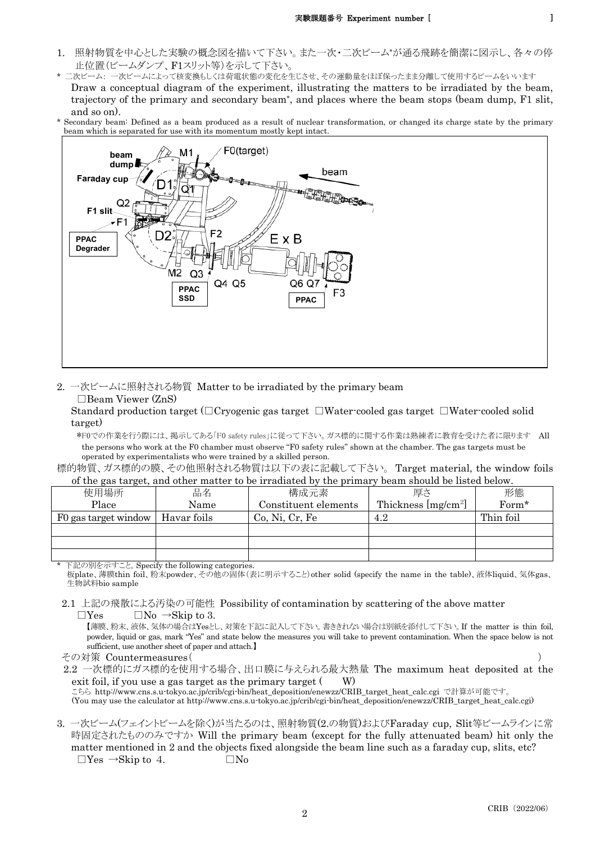- 1. 照射物質を中心とした実験の概念図を描いて下さい。また一次・二次ビーム\*が通る飛跡を簡潔に図示し、各々の停 止位置(ビームダンプ、F1スリット等)を示して下さい。
- 二次ビーム: 一次ビームによって核変換もしくは荷電状態の変化を生じさせ、その運動量をほぼ保ったまま分離して使用するビームをいいます Draw a conceptual diagram of the experiment, illustrating the matters to be irradiated by the beam, trajectory of the primary and secondary beam\*, and places where the beam stops (beam dump, F1 slit, and so on).
- \* Secondary beam: Defined as a beam produced as a result of nuclear transformation, or changed its charge state by the primary beam which is separated for use with its momentum mostly kept intact.



2. 一次ビームに照射される物質 Matter to be irradiated by the primary beam □Beam Viewer (ZnS)

Standard production target (□Cryogenic gas target □Water-cooled gas target □Water-cooled solid target)

\*F0での作業を行う際には、掲示してある「F0 safety rules」に従って下さい。ガス標的に関する作業は熟練者に教育を受けた者に限ります All the persons who work at the F0 chamber must observe "F0 safety rules" shown at the chamber. The gas targets must be operated by experimentalists who were trained by a skilled person.

標的物質、ガス標的の膜、その他照射される物質は以下の表に記載して下さい。 Target material, the window foils of the gas target, and other matter to be irradiated by the primary beam should be listed below.

| $\sigma$ , and give this got, there ourse mitted by the mittentified by the primiting theories we move to be $\sigma$ |             |                      |                       |           |  |  |
|-----------------------------------------------------------------------------------------------------------------------|-------------|----------------------|-----------------------|-----------|--|--|
| 使用場所                                                                                                                  | 品名          | 構成元素                 | 厚さ                    | 形態        |  |  |
| Place                                                                                                                 | Name        | Constituent elements | Thickness $[mg/cm^2]$ | Form*     |  |  |
| F0 gas target window                                                                                                  | Havar foils | Co, Ni, Cr, Fe       | 4.2                   | Thin foil |  |  |
|                                                                                                                       |             |                      |                       |           |  |  |
|                                                                                                                       |             |                      |                       |           |  |  |
|                                                                                                                       |             |                      |                       |           |  |  |

下記の別を示すこと。Specify the following categories. 板plate、薄膜thin foil、粉末powder、その他の固体(表に明示すること)other solid (specify the name in the table)、液体liquid、気体gas、 生物試料bio sample

2.1 上記の飛散による汚染の可能性 Possibility of contamination by scattering of the above matter  $\Box$ Yes  $\Box$ No  $\rightarrow$ Skip to 3.

【薄膜、粉末、液体、気体の場合はYesとし、対策を下記に記入して下さい。書ききれない場合は別紙を添付して下さい。If the matter is thin foil, powder, liquid or gas, mark "Yes" and state below the measures you will take to prevent contamination. When the space below is not sufficient, use another sheet of paper and attach.】

その対策 Countermeasures( )

2.2 一次標的にガス標的を使用する場合、出口膜に与えられる最大熱量 The maximum heat deposited at the exit foil, if you use a gas target as the primary target  $(W)$ 

.<br>こちら http://www.cns.s.u-tokyo.ac.jp/crib/cgi-bin/heat\_deposition/enewzz/CRIB\_target\_heat\_calc.cgi で計算が可能です。 (You may use the calculator at http://www.cns.s.u-tokyo.ac.jp/crib/cgi-bin/heat\_deposition/enewzz/CRIB\_target\_heat\_calc.cgi)

3. 一次ビーム(フェイントビームを除く)が当たるのは、照射物質(2.の物質)およびFaraday cup, Slit等ビームラインに常 時固定されたもののみですか Will the primary beam (except for the fully attenuated beam) hit only the matter mentioned in 2 and the objects fixed alongside the beam line such as a faraday cup, slits, etc?  $\Box$ Yes  $\rightarrow$ Skip to 4.  $\Box$ No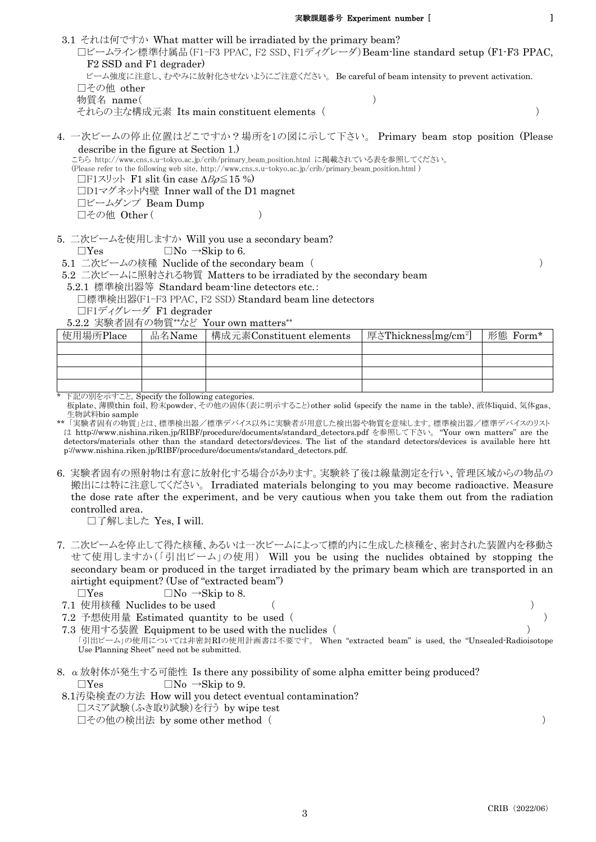- 3.1 それは何ですか What matter will be irradiated by the primary beam? □ビームライン標準付属品(F1-F3 PPAC, F2 SSD、F1ディグレーダ)Beam-line standard setup (F1-F3 PPAC, F2 SSD and F1 degrader) ビーム強度に注意し、むやみに放射化させないようにご注意ください。 Be careful of beam intensity to prevent activation. □その他 other 物質名 name( ) それらの主な構成元素 Its main constituent elements ( ) 4. 一次ビームの停止位置はどこですか?場所を1の図に示して下さい。 Primary beam stop position (Please
- describe in the figure at Section 1.)

こちら http://www.cns.s.u-tokyo.ac.jp/crib/primary\_beam\_position.html に掲載されている表を参照してください。 (Please refer to the following web site. http://www.cns.s.u-tokyo.ac.jp/crib/primary\_beam\_position.html ) □F1スリット F1 slit (in case  $\Delta B\rho \le 15$  %) □D1マグネット内壁 Inner wall of the D1 magnet □ビームダンプ Beam Dump □その他 Other ( )

5. 二次ビームを使用しますか Will you use a secondary beam?

 $\Box$ Yes  $\Box$ No  $\rightarrow$ Skip to 6.

5.1 二次ビームの核種 Nuclide of the secondary beam ( )

5.2 二次ビームに照射される物質 Matters to be irradiated by the secondary beam

- 5.2.1 標準検出器等 Standard beam-line detectors etc.:
	- □標準検出器(F1-F3 PPAC, F2 SSD) Standard beam line detectors
	- □F1ディグレーダ F1 degrader

5.2.2 実験者固有の物質\*\*など Your own matters\*\*

| 使用場所Place | 品名Name | 構成元素Constituent elements | 厚さThickness[mg/cm <sup>2</sup> ] | 形態 Form* |
|-----------|--------|--------------------------|----------------------------------|----------|
|           |        |                          |                                  |          |
|           |        |                          |                                  |          |
|           |        |                          |                                  |          |
|           |        |                          |                                  |          |

\* 下記の別を示すこと。Specify the following categories.

板plate、薄膜thin foil、粉末powder、その他の固体(表に明示すること)other solid (specify the name in the table)、液体liquid、気体gas、 生物試料bio sample

- \*\* 「実験者固有の物質」とは、標準検出器/標準デバイス以外に実験者が用意した検出器や物質を意味します。標準検出器/標準デバイスのリスト は http://www.nishina.riken.jp/RIBF/procedure/documents/standard\_detectors.pdf を参照して下さい。 "Your own matters" are the detectors/materials other than the standard detectors/devices. The list of the standard detectors/devices is available here htt p://www.nishina.riken.jp/RIBF/procedure/documents/standard\_detectors.pdf.
- 6. 実験者固有の照射物は有意に放射化する場合があります。実験終了後は線量測定を行い、管理区域からの物品の 搬出には特に注意してください。 Irradiated materials belonging to you may become radioactive. Measure the dose rate after the experiment, and be very cautious when you take them out from the radiation controlled area.

□了解しました Yes, I will.

- 7. 二次ビームを停止して得た核種、あるいは一次ビームによって標的内に生成した核種を、密封された装置内を移動さ せて使用しますか(「引出ビーム」の使用) Will you be using the nuclides obtained by stopping the secondary beam or produced in the target irradiated by the primary beam which are transported in an airtight equipment? (Use of "extracted beam")
	- $\Box$ Yes  $\Box$ No  $\rightarrow$ Skip to 8.
- 7.1 使用核種 Nuclides to be used ( )
- 7.2 予想使用量 Estimated quantity to be used ( )
- 7.3 使用する装置 Equipment to be used with the nuclides ( ) 「引出ビーム」の使用については非密封RIの使用計画書は不要です。 When "extracted beam" is used, the "Unsealed-Radioisotope Use Planning Sheet" need not be submitted.
- 8.  $\alpha$ 放射体が発生する可能性 Is there any possibility of some alpha emitter being produced?  $\Box$ Yes  $\Box$ No  $\rightarrow$ Skip to 9.
- 8.1汚染検査の方法 How will you detect eventual contamination? □スミア試験(ふき取り試験)を行う by wipe test □その他の検出法 by some other method ( )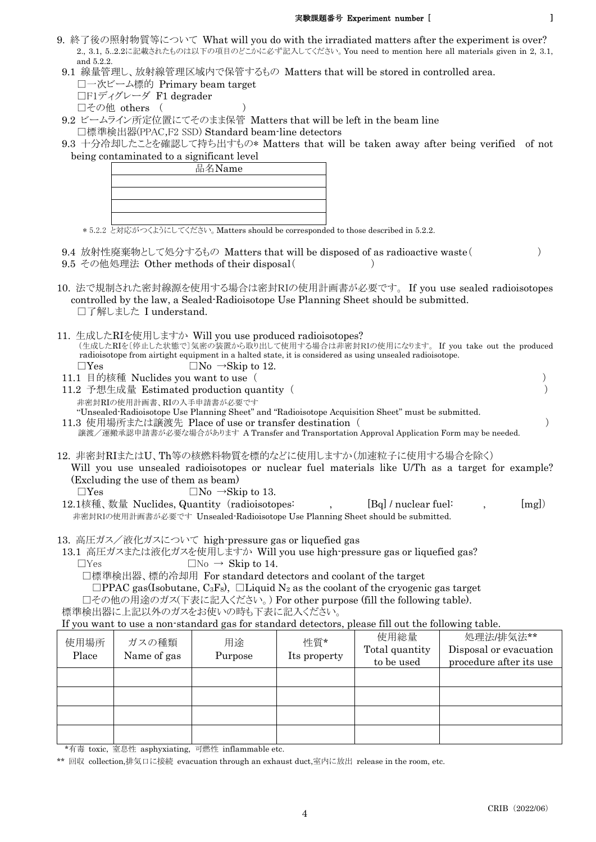## 実験課題番号 Experiment number [ ]

- 9. 終了後の照射物質等について What will you do with the irradiated matters after the experiment is over? 2., 3.1, 5..2.2に記載されたものは以下の項目のどこかに必ず記入してください。You need to mention here all materials given in 2, 3.1, and 5.2.2.
- 9.1 線量管理し、放射線管理区域内で保管するもの Matters that will be stored in controlled area. □一次ビーム標的 Primary beam target □F1ディグレーダ F1 degrader □その他 others ( )
- 9.2 ビームライン所定位置にてそのまま保管 Matters that will be left in the beam line □標準検出器(PPAC,F2 SSD) Standard beam-line detectors
- 9.3 十分冷却したことを確認して持ち出すもの\* Matters that will be taken away after being verified of not being contaminated to a significant level



\* 5.2.2 と対応がつくようにしてください。Matters should be corresponded to those described in 5.2.2.

- 9.4 放射性廃棄物として処分するもの Matters that will be disposed of as radioactive waste( )
- 9.5 その他処理法 Other methods of their disposal( )
- 10. 法で規制された密封線源を使用する場合は密封RIの使用計画書が必要です。 If you use sealed radioisotopes controlled by the law, a Sealed-Radioisotope Use Planning Sheet should be submitted. □了解しました I understand.
- 11. 生成したRIを使用しますか Will you use produced radioisotopes? (生成したRIを〔停止した状態で〕気密の装置から取り出して使用する場合は非密封RIの使用になります。 If you take out the produced radioisotope from airtight equipment in a halted state, it is considered as using unsealed radioisotope.  $\Box$ Yes  $\Box$ No  $\rightarrow$ Skip to 12.
- 11.1 目的核種 Nuclides you want to use ( ) 11.2 予想生成量 Estimated production quantity ( ) 非密封RIの使用計画書、RIの入手申請書が必要です "Unsealed-Radioisotope Use Planning Sheet" and "Radioisotope Acquisition Sheet" must be submitted.
- 11.3 使用場所または譲渡先 Place of use or transfer destination ( ) 譲渡/運搬承認申請書が必要な場合があります A Transfer and Transportation Approval Application Form may be needed.
- 12. 非密封RIまたはU、Th等の核燃料物質を標的などに使用しますか(加速粒子に使用する場合を除く) Will you use unsealed radioisotopes or nuclear fuel materials like U/Th as a target for example? (Excluding the use of them as beam)  $\Box$ Yes  $\Box$ No  $\rightarrow$ Skip to 13.
- 12.1核種、数量 Nuclides, Quantity (radioisotopes: , [Bq] / nuclear fuel: , [mg]) 非密封RIの使用計画書が必要です Unsealed-Radioisotope Use Planning Sheet should be submitted.
- 13. 高圧ガス/液化ガスについて high-pressure gas or liquefied gas
- 13.1 高圧ガスまたは液化ガスを使用しますか Will you use high-pressure gas or liquefied gas?  $\Box$ Yes  $\Box$ No  $\rightarrow$  Skip to 14.

□標準検出器、標的冷却用 For standard detectors and coolant of the target

 $\Box$ PPAC gas(Isobutane, C<sub>3</sub>F<sub>8</sub>),  $\Box$ Liquid N<sub>2</sub> as the coolant of the cryogenic gas target

□その他の用途のガス(下表に記入ください。) For other purpose (fill the following table).

標準検出器に上記以外のガスをお使いの時も下表に記入ください。

If you want to use a non-standard gas for standard detectors, please fill out the following table.

| 使用場所<br>Place | ガスの種類<br>Name of gas | 用途<br>Purpose | 性質*<br>Its property | 使用総量<br>Total quantity<br>to be used | 処理法/排気法**<br>Disposal or evacuation<br>procedure after its use |
|---------------|----------------------|---------------|---------------------|--------------------------------------|----------------------------------------------------------------|
|               |                      |               |                     |                                      |                                                                |
|               |                      |               |                     |                                      |                                                                |
|               |                      |               |                     |                                      |                                                                |
|               |                      |               |                     |                                      |                                                                |

\*有毒 toxic, 窒息性 asphyxiating, 可燃性 inflammable etc.

\*\* 回収 collection,排気口に接続 evacuation through an exhaust duct,室内に放出 release in the room, etc.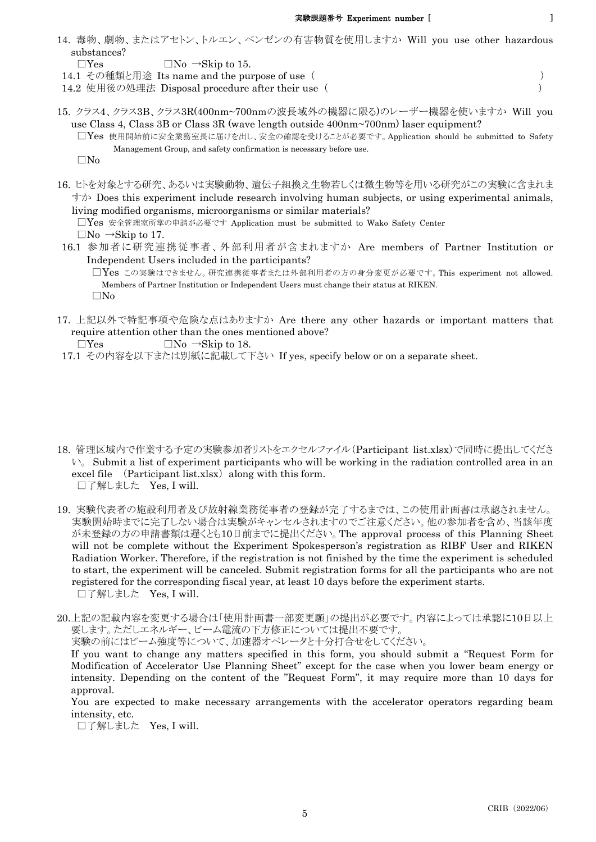- 14. 毒物、劇物、またはアセトン、トルエン、ベンゼンの有害物質を使用しますか Will you use other hazardous substances?
	- $\Box$ Yes  $\Box$ No  $\rightarrow$ Skip to 15.
- 14.1 その種類と用途 Its name and the purpose of use ( )
- 14.2 使用後の処理法 Disposal procedure after their use ( )
- 15. クラス4、クラス3B、クラス3R(400nm~700nmの波長域外の機器に限る)のレーザー機器を使いますか Will you use Class 4, Class 3B or Class 3R (wave length outside 400nm~700nm) laser equipment?
	- □Yes 使用開始前に安全業務室長に届けを出し、安全の確認を受けることが必要です。Application should be submitted to Safety Management Group, and safety confirmation is necessary before use.

□No

16. ヒトを対象とする研究、あるいは実験動物、遺伝子組換え生物若しくは微生物等を用いる研究がこの実験に含まれま すか Does this experiment include research involving human subjects, or using experimental animals, living modified organisms, microorganisms or similar materials?

□Yes 安全管理室所掌の申請が必要です Application must be submitted to Wako Safety Center  $\Box$ No  $\rightarrow$ Skip to 17.

 16.1 参加者に研究連携従事者、外部利用者が含まれますか Are members of Partner Institution or Independent Users included in the participants?

□Yes この実験はできません。研究連携従事者または外部利用者の方の身分変更が必要です。This experiment not allowed. Members of Partner Institution or Independent Users must change their status at RIKEN. □No

17. 上記以外で特記事項や危険な点はありますか Are there any other hazards or important matters that require attention other than the ones mentioned above?

- 17.1 その内容を以下または別紙に記載して下さい If yes, specify below or on a separate sheet.
- 18. 管理区域内で作業する予定の実験参加者リストをエクセルファイル(Participant list.xlsx)で同時に提出してくださ  $\vee$ . Submit a list of experiment participants who will be working in the radiation controlled area in an excel file  $(Participant list.xlsx)$  along with this form. □了解しました Yes, I will.
- 19. 実験代表者の施設利用者及び放射線業務従事者の登録が完了するまでは、この使用計画書は承認されません。 実験開始時までに完了しない場合は実験がキャンセルされますのでご注意ください。他の参加者を含め、当該年度 が未登録の方の申請書類は遅くとも10日前までに提出ください。The approval process of this Planning Sheet will not be complete without the Experiment Spokesperson's registration as RIBF User and RIKEN Radiation Worker. Therefore, if the registration is not finished by the time the experiment is scheduled to start, the experiment will be canceled. Submit registration forms for all the participants who are not registered for the corresponding fiscal year, at least 10 days before the experiment starts. □了解しました Yes, I will.
- 20.上記の記載内容を変更する場合は「使用計画書一部変更願」の提出が必要です。内容によっては承認に10日以上 要します。ただしエネルギー、ビーム電流の下方修正については提出不要です。

実験の前にはビーム強度等について、加速器オペレータと十分打合せをしてください。

If you want to change any matters specified in this form, you should submit a "Request Form for Modification of Accelerator Use Planning Sheet" except for the case when you lower beam energy or intensity. Depending on the content of the "Request Form", it may require more than 10 days for approval.

You are expected to make necessary arrangements with the accelerator operators regarding beam intensity, etc.

□了解しました Yes, I will.

 $\Box$ Yes  $\Box$ No  $\rightarrow$ Skip to 18.